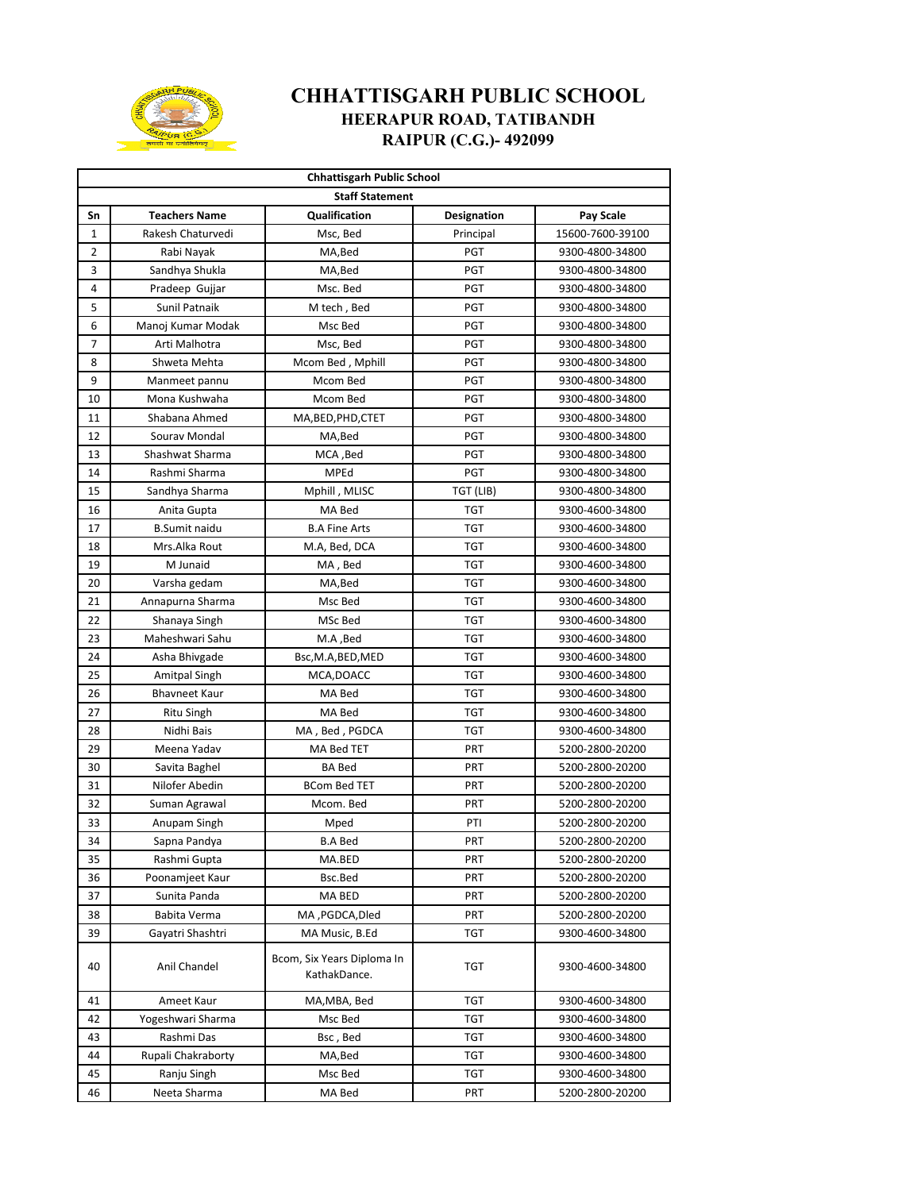

## **CHHATTISGARH PUBLIC SCHOOL HEERAPUR ROAD, TATIBANDH RAIPUR (C.G.)- 492099**

| <b>Chhattisgarh Public School</b> |                      |                                            |             |                  |  |  |  |  |
|-----------------------------------|----------------------|--------------------------------------------|-------------|------------------|--|--|--|--|
| <b>Staff Statement</b>            |                      |                                            |             |                  |  |  |  |  |
| Sn                                | <b>Teachers Name</b> | Qualification                              | Designation | Pay Scale        |  |  |  |  |
| 1                                 | Rakesh Chaturvedi    | Msc, Bed                                   | Principal   | 15600-7600-39100 |  |  |  |  |
| 2                                 | Rabi Nayak           | MA, Bed                                    | PGT         | 9300-4800-34800  |  |  |  |  |
| 3                                 | Sandhya Shukla       | MA, Bed                                    | PGT         | 9300-4800-34800  |  |  |  |  |
| 4                                 | Pradeep Gujjar       | Msc. Bed                                   | PGT         | 9300-4800-34800  |  |  |  |  |
| 5                                 | Sunil Patnaik        | M tech, Bed                                | PGT         | 9300-4800-34800  |  |  |  |  |
| 6                                 | Manoj Kumar Modak    | Msc Bed                                    | PGT         | 9300-4800-34800  |  |  |  |  |
| $\overline{7}$                    | Arti Malhotra        | Msc, Bed                                   | PGT         | 9300-4800-34800  |  |  |  |  |
| 8                                 | Shweta Mehta         | Mcom Bed, Mphill                           | PGT         | 9300-4800-34800  |  |  |  |  |
| 9                                 | Manmeet pannu        | Mcom Bed                                   | PGT         | 9300-4800-34800  |  |  |  |  |
| 10                                | Mona Kushwaha        | Mcom Bed                                   | PGT         | 9300-4800-34800  |  |  |  |  |
| 11                                | Shabana Ahmed        | MA, BED, PHD, CTET                         | PGT         | 9300-4800-34800  |  |  |  |  |
| 12                                | Sourav Mondal        | MA, Bed                                    | PGT         | 9300-4800-34800  |  |  |  |  |
| 13                                | Shashwat Sharma      | MCA, Bed                                   | PGT         | 9300-4800-34800  |  |  |  |  |
| 14                                | Rashmi Sharma        | MPEd                                       | <b>PGT</b>  | 9300-4800-34800  |  |  |  |  |
| 15                                | Sandhya Sharma       | Mphill, MLISC                              | TGT (LIB)   | 9300-4800-34800  |  |  |  |  |
| 16                                | Anita Gupta          | MA Bed                                     | <b>TGT</b>  | 9300-4600-34800  |  |  |  |  |
| 17                                | <b>B.Sumit naidu</b> | <b>B.A Fine Arts</b>                       | <b>TGT</b>  | 9300-4600-34800  |  |  |  |  |
| 18                                | Mrs.Alka Rout        | M.A, Bed, DCA                              | TGT         | 9300-4600-34800  |  |  |  |  |
| 19                                | M Junaid             | MA, Bed                                    | TGT         | 9300-4600-34800  |  |  |  |  |
| 20                                | Varsha gedam         | MA, Bed                                    | <b>TGT</b>  | 9300-4600-34800  |  |  |  |  |
| 21                                | Annapurna Sharma     | Msc Bed                                    | TGT         | 9300-4600-34800  |  |  |  |  |
| 22                                | Shanaya Singh        | MSc Bed                                    | TGT         | 9300-4600-34800  |  |  |  |  |
| 23                                | Maheshwari Sahu      | M.A ,Bed                                   | <b>TGT</b>  | 9300-4600-34800  |  |  |  |  |
| 24                                | Asha Bhivgade        | Bsc, M.A, BED, MED                         | <b>TGT</b>  | 9300-4600-34800  |  |  |  |  |
| 25                                | Amitpal Singh        | MCA, DOACC                                 | <b>TGT</b>  | 9300-4600-34800  |  |  |  |  |
| 26                                | <b>Bhavneet Kaur</b> | MA Bed                                     | <b>TGT</b>  | 9300-4600-34800  |  |  |  |  |
| 27                                | <b>Ritu Singh</b>    | MA Bed                                     | <b>TGT</b>  | 9300-4600-34800  |  |  |  |  |
| 28                                | Nidhi Bais           | MA, Bed, PGDCA                             | <b>TGT</b>  | 9300-4600-34800  |  |  |  |  |
| 29                                | Meena Yadav          | MA Bed TET                                 | PRT         | 5200-2800-20200  |  |  |  |  |
| 30                                | Savita Baghel        | <b>BA Bed</b>                              | PRT         | 5200-2800-20200  |  |  |  |  |
| 31                                | Nilofer Abedin       | <b>BCom Bed TET</b>                        | PRT         | 5200-2800-20200  |  |  |  |  |
| 32                                | Suman Agrawal        | Mcom. Bed                                  | PRT         | 5200-2800-20200  |  |  |  |  |
| 33                                | Anupam Singh         | Mped                                       | PTI         | 5200-2800-20200  |  |  |  |  |
| 34                                | Sapna Pandya         | <b>B.A Bed</b>                             | PRT         | 5200-2800-20200  |  |  |  |  |
| 35                                | Rashmi Gupta         | MA.BED                                     | PRT         | 5200-2800-20200  |  |  |  |  |
| 36                                | Poonamjeet Kaur      | Bsc.Bed                                    | PRT         | 5200-2800-20200  |  |  |  |  |
| 37                                | Sunita Panda         | MA BED                                     | PRT         | 5200-2800-20200  |  |  |  |  |
| 38                                | Babita Verma         | MA, PGDCA, Dled                            | PRT         | 5200-2800-20200  |  |  |  |  |
| 39                                | Gayatri Shashtri     | MA Music, B.Ed                             | TGT         | 9300-4600-34800  |  |  |  |  |
| 40                                | Anil Chandel         | Bcom. Six Years Diploma In<br>KathakDance. | TGT         | 9300-4600-34800  |  |  |  |  |
| 41                                | Ameet Kaur           | MA,MBA, Bed                                | TGT         | 9300-4600-34800  |  |  |  |  |
| 42                                | Yogeshwari Sharma    | Msc Bed                                    | TGT         | 9300-4600-34800  |  |  |  |  |
| 43                                | Rashmi Das           | Bsc , Bed                                  | TGT         | 9300-4600-34800  |  |  |  |  |
| 44                                | Rupali Chakraborty   | MA,Bed                                     | TGT         | 9300-4600-34800  |  |  |  |  |
| 45                                | Ranju Singh          | Msc Bed                                    | TGT         | 9300-4600-34800  |  |  |  |  |
| 46                                | Neeta Sharma         | MA Bed                                     | PRT         | 5200-2800-20200  |  |  |  |  |
|                                   |                      |                                            |             |                  |  |  |  |  |